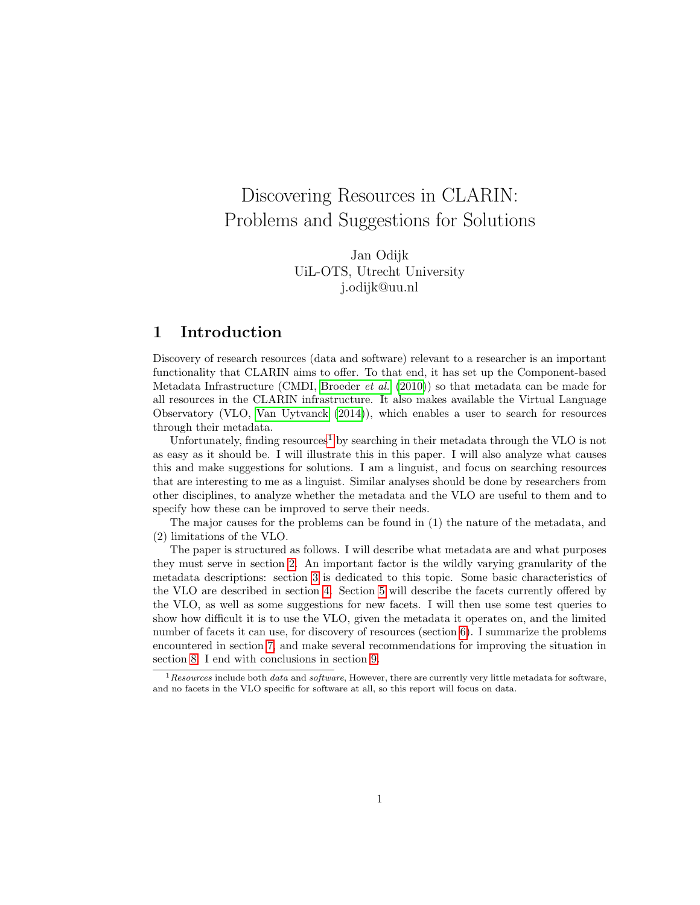# Discovering Resources in CLARIN: Problems and Suggestions for Solutions

Jan Odijk UiL-OTS, Utrecht University j.odijk@uu.nl

### 1 Introduction

Discovery of research resources (data and software) relevant to a researcher is an important functionality that CLARIN aims to offer. To that end, it has set up the Component-based Metadata Infrastructure (CMDI, [Broeder](#page-14-0) et al. [\(2010\)](#page-14-0)) so that metadata can be made for all resources in the CLARIN infrastructure. It also makes available the Virtual Language Observatory (VLO, [Van Uytvanck](#page-14-1) [\(2014\)](#page-14-1)), which enables a user to search for resources through their metadata.

Unfortunately, finding resources<sup>[1](#page-0-0)</sup> by searching in their metadata through the VLO is not as easy as it should be. I will illustrate this in this paper. I will also analyze what causes this and make suggestions for solutions. I am a linguist, and focus on searching resources that are interesting to me as a linguist. Similar analyses should be done by researchers from other disciplines, to analyze whether the metadata and the VLO are useful to them and to specify how these can be improved to serve their needs.

The major causes for the problems can be found in (1) the nature of the metadata, and (2) limitations of the VLO.

The paper is structured as follows. I will describe what metadata are and what purposes they must serve in section [2.](#page-1-0) An important factor is the wildly varying granularity of the metadata descriptions: section [3](#page-1-1) is dedicated to this topic. Some basic characteristics of the VLO are described in section [4.](#page-3-0) Section [5](#page-3-1) will describe the facets currently offered by the VLO, as well as some suggestions for new facets. I will then use some test queries to show how difficult it is to use the VLO, given the metadata it operates on, and the limited number of facets it can use, for discovery of resources (section [6\)](#page-8-0). I summarize the problems encountered in section [7,](#page-10-0) and make several recommendations for improving the situation in section [8.](#page-11-0) I end with conclusions in section [9.](#page-13-0)

<span id="page-0-0"></span> $1$ Resources include both *data* and software, However, there are currently very little metadata for software, and no facets in the VLO specific for software at all, so this report will focus on data.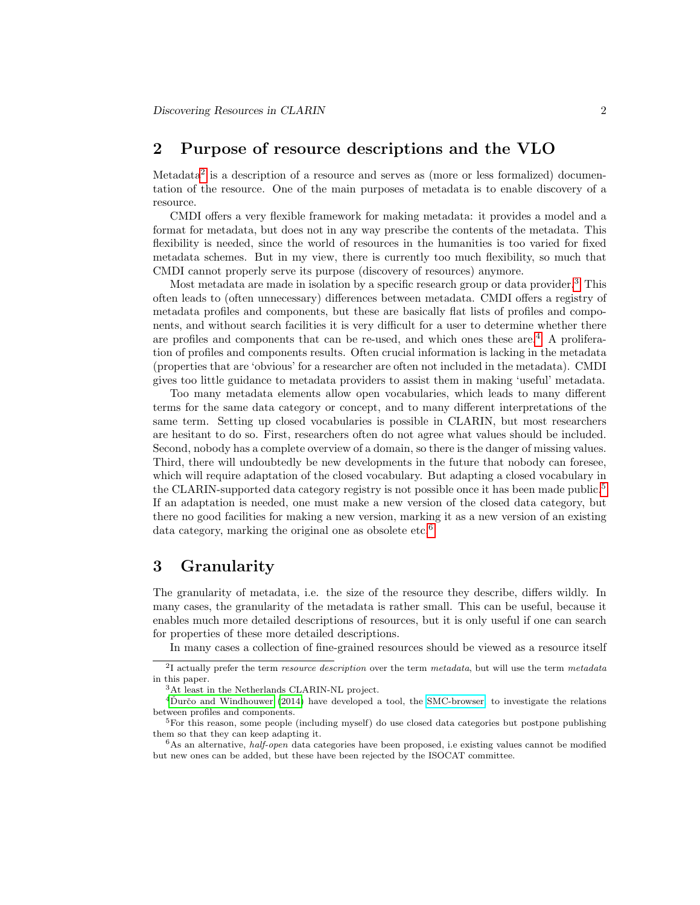### <span id="page-1-0"></span>2 Purpose of resource descriptions and the VLO

Metadata<sup>[2](#page-1-2)</sup> is a description of a resource and serves as (more or less formalized) documentation of the resource. One of the main purposes of metadata is to enable discovery of a resource.

CMDI offers a very flexible framework for making metadata: it provides a model and a format for metadata, but does not in any way prescribe the contents of the metadata. This flexibility is needed, since the world of resources in the humanities is too varied for fixed metadata schemes. But in my view, there is currently too much flexibility, so much that CMDI cannot properly serve its purpose (discovery of resources) anymore.

Most metadata are made in isolation by a specific research group or data provider.<sup>[3](#page-1-3)</sup> This often leads to (often unnecessary) differences between metadata. CMDI offers a registry of metadata profiles and components, but these are basically flat lists of profiles and components, and without search facilities it is very difficult for a user to determine whether there are profiles and components that can be re-used, and which ones these are.<sup>[4](#page-1-4)</sup> A proliferation of profiles and components results. Often crucial information is lacking in the metadata (properties that are 'obvious' for a researcher are often not included in the metadata). CMDI gives too little guidance to metadata providers to assist them in making 'useful' metadata.

Too many metadata elements allow open vocabularies, which leads to many different terms for the same data category or concept, and to many different interpretations of the same term. Setting up closed vocabularies is possible in CLARIN, but most researchers are hesitant to do so. First, researchers often do not agree what values should be included. Second, nobody has a complete overview of a domain, so there is the danger of missing values. Third, there will undoubtedly be new developments in the future that nobody can foresee, which will require adaptation of the closed vocabulary. But adapting a closed vocabulary in the CLARIN-supported data category registry is not possible once it has been made public.<sup>[5](#page-1-5)</sup> If an adaptation is needed, one must make a new version of the closed data category, but there no good facilities for making a new version, marking it as a new version of an existing data category, marking the original one as obsolete etc.<sup>[6](#page-1-6)</sup>

### <span id="page-1-1"></span>3 Granularity

The granularity of metadata, i.e. the size of the resource they describe, differs wildly. In many cases, the granularity of the metadata is rather small. This can be useful, because it enables much more detailed descriptions of resources, but it is only useful if one can search for properties of these more detailed descriptions.

<span id="page-1-2"></span>In many cases a collection of fine-grained resources should be viewed as a resource itself

<sup>&</sup>lt;sup>2</sup>I actually prefer the term *resource description* over the term *metadata*, but will use the term *metadata* in this paper.

<span id="page-1-4"></span><span id="page-1-3"></span><sup>3</sup>At least in the Netherlands CLARIN-NL project.

 $4\text{D}$ určo and Windhouwer [\(2014\)](#page-14-2) have developed a tool, the [SMC-browser,](http://clarin.oeaw.ac.at/smc-browser) to investigate the relations between profiles and components.

<span id="page-1-5"></span><sup>5</sup>For this reason, some people (including myself) do use closed data categories but postpone publishing them so that they can keep adapting it.

<span id="page-1-6"></span> $6$ As an alternative, *half-open* data categories have been proposed, i.e existing values cannot be modified but new ones can be added, but these have been rejected by the ISOCAT committee.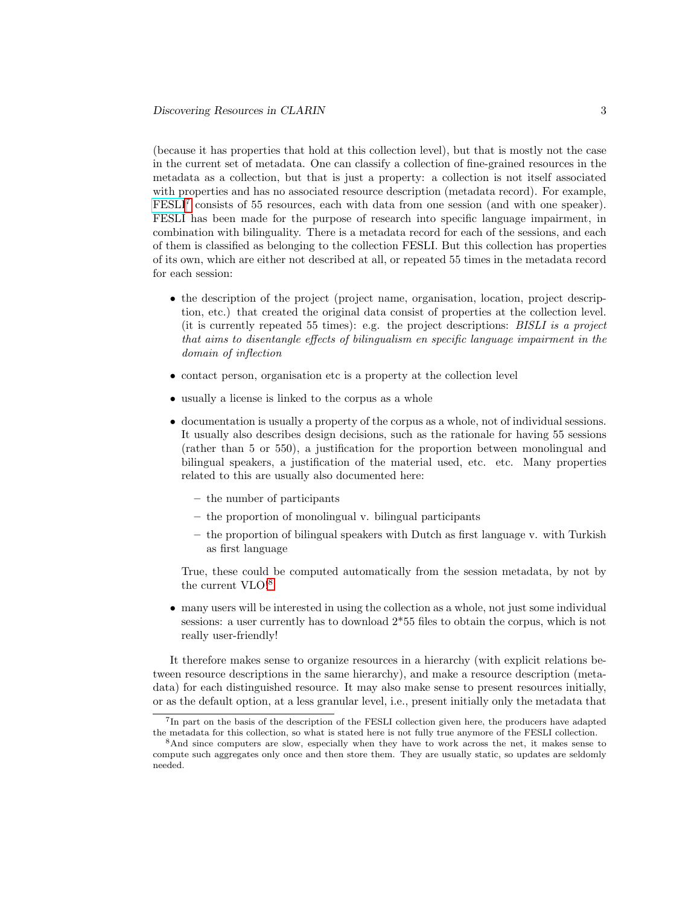(because it has properties that hold at this collection level), but that is mostly not the case in the current set of metadata. One can classify a collection of fine-grained resources in the metadata as a collection, but that is just a property: a collection is not itself associated with properties and has no associated resource description (metadata record). For example, [FESLI](http://catalog.clarin.eu/vlo/search?fq=collection:Fesli)<sup>[7](#page-2-0)</sup> consists of 55 resources, each with data from one session (and with one speaker). FESLI has been made for the purpose of research into specific language impairment, in combination with bilinguality. There is a metadata record for each of the sessions, and each of them is classified as belonging to the collection FESLI. But this collection has properties of its own, which are either not described at all, or repeated 55 times in the metadata record for each session:

- the description of the project (project name, organisation, location, project description, etc.) that created the original data consist of properties at the collection level. (it is currently repeated 55 times): e.g. the project descriptions:  $BISLI$  is a project that aims to disentangle effects of bilingualism en specific language impairment in the domain of inflection
- contact person, organisation etc is a property at the collection level
- usually a license is linked to the corpus as a whole
- documentation is usually a property of the corpus as a whole, not of individual sessions. It usually also describes design decisions, such as the rationale for having 55 sessions (rather than 5 or 550), a justification for the proportion between monolingual and bilingual speakers, a justification of the material used, etc. etc. Many properties related to this are usually also documented here:
	- the number of participants
	- the proportion of monolingual v. bilingual participants
	- the proportion of bilingual speakers with Dutch as first language v. with Turkish as first language

True, these could be computed automatically from the session metadata, by not by the current VLO![8](#page-2-1)

• many users will be interested in using the collection as a whole, not just some individual sessions: a user currently has to download 2\*55 files to obtain the corpus, which is not really user-friendly!

It therefore makes sense to organize resources in a hierarchy (with explicit relations between resource descriptions in the same hierarchy), and make a resource description (metadata) for each distinguished resource. It may also make sense to present resources initially, or as the default option, at a less granular level, i.e., present initially only the metadata that

<span id="page-2-0"></span><sup>&</sup>lt;sup>7</sup>In part on the basis of the description of the FESLI collection given here, the producers have adapted the metadata for this collection, so what is stated here is not fully true anymore of the FESLI collection.

<span id="page-2-1"></span><sup>&</sup>lt;sup>8</sup>And since computers are slow, especially when they have to work across the net, it makes sense to compute such aggregates only once and then store them. They are usually static, so updates are seldomly needed.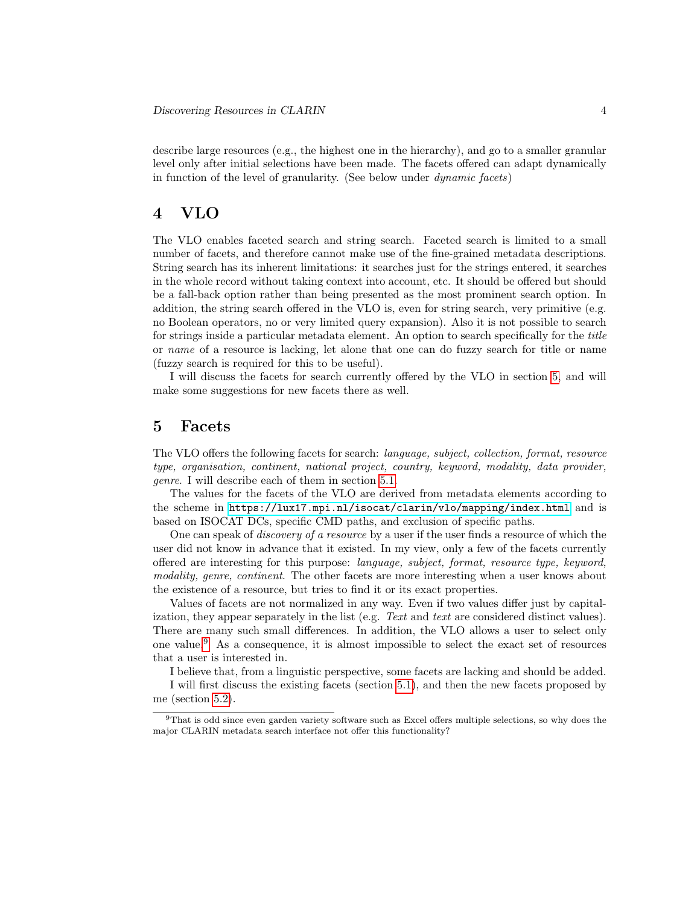describe large resources (e.g., the highest one in the hierarchy), and go to a smaller granular level only after initial selections have been made. The facets offered can adapt dynamically in function of the level of granularity. (See below under dynamic facets)

### <span id="page-3-0"></span>4 VLO

The VLO enables faceted search and string search. Faceted search is limited to a small number of facets, and therefore cannot make use of the fine-grained metadata descriptions. String search has its inherent limitations: it searches just for the strings entered, it searches in the whole record without taking context into account, etc. It should be offered but should be a fall-back option rather than being presented as the most prominent search option. In addition, the string search offered in the VLO is, even for string search, very primitive (e.g. no Boolean operators, no or very limited query expansion). Also it is not possible to search for strings inside a particular metadata element. An option to search specifically for the title or name of a resource is lacking, let alone that one can do fuzzy search for title or name (fuzzy search is required for this to be useful).

I will discuss the facets for search currently offered by the VLO in section [5,](#page-3-1) and will make some suggestions for new facets there as well.

### <span id="page-3-1"></span>5 Facets

The VLO offers the following facets for search: language, subject, collection, format, resource type, organisation, continent, national project, country, keyword, modality, data provider, genre. I will describe each of them in section [5.1.](#page-4-0)

The values for the facets of the VLO are derived from metadata elements according to the scheme in <https://lux17.mpi.nl/isocat/clarin/vlo/mapping/index.html> and is based on ISOCAT DCs, specific CMD paths, and exclusion of specific paths.

One can speak of *discovery of a resource* by a user if the user finds a resource of which the user did not know in advance that it existed. In my view, only a few of the facets currently offered are interesting for this purpose: language, subject, format, resource type, keyword, modality, genre, continent. The other facets are more interesting when a user knows about the existence of a resource, but tries to find it or its exact properties.

Values of facets are not normalized in any way. Even if two values differ just by capitalization, they appear separately in the list (e.g. Text and text are considered distinct values). There are many such small differences. In addition, the VLO allows a user to select only one value.[9](#page-3-2) As a consequence, it is almost impossible to select the exact set of resources that a user is interested in.

I believe that, from a linguistic perspective, some facets are lacking and should be added.

I will first discuss the existing facets (section [5.1\)](#page-4-0), and then the new facets proposed by me (section [5.2\)](#page-7-0).

<span id="page-3-2"></span><sup>9</sup>That is odd since even garden variety software such as Excel offers multiple selections, so why does the major CLARIN metadata search interface not offer this functionality?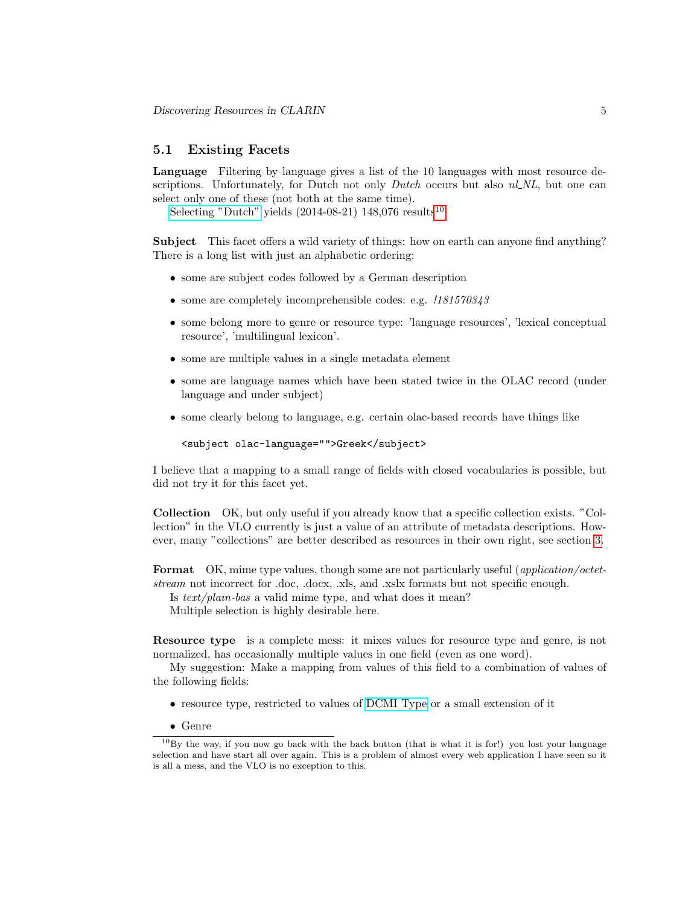#### <span id="page-4-0"></span>5.1 Existing Facets

Language Filtering by language gives a list of the 10 languages with most resource descriptions. Unfortunately, for Dutch not only *Dutch* occurs but also  $nl$ *NL*, but one can select only one of these (not both at the same time).

[Selecting "Dutch"](http://catalog.clarin.eu/vlo/search?2&fq=language:Dutch) yields  $(2014-08-21)$  148,076 results<sup>[10](#page-4-1)</sup>

Subject This facet offers a wild variety of things: how on earth can anyone find anything? There is a long list with just an alphabetic ordering:

- some are subject codes followed by a German description
- some are completely incomprehensible codes: e.g.  $.181570343$
- some belong more to genre or resource type: 'language resources', 'lexical conceptual resource', 'multilingual lexicon'.
- some are multiple values in a single metadata element
- some are language names which have been stated twice in the OLAC record (under language and under subject)
- some clearly belong to language, e.g. certain olac-based records have things like

```
<subject olac-language="">Greek</subject>
```
I believe that a mapping to a small range of fields with closed vocabularies is possible, but did not try it for this facet yet.

Collection OK, but only useful if you already know that a specific collection exists. "Collection" in the VLO currently is just a value of an attribute of metadata descriptions. However, many "collections" are better described as resources in their own right, see section [3.](#page-1-1)

Format OK, mime type values, though some are not particularly useful (*application/octet*stream not incorrect for .doc, .docx, .xls, and .xslx formats but not specific enough.

Is text/plain-bas a valid mime type, and what does it mean?

Multiple selection is highly desirable here.

Resource type is a complete mess: it mixes values for resource type and genre, is not normalized, has occasionally multiple values in one field (even as one word).

My suggestion: Make a mapping from values of this field to a combination of values of the following fields:

- resource type, restricted to values of [DCMI Type](http://purl.org/dc/terms/DCMIType) or a small extension of it
- <span id="page-4-1"></span>• Genre

<sup>10</sup>By the way, if you now go back with the back button (that is what it is for!) you lost your language selection and have start all over again. This is a problem of almost every web application I have seen so it is all a mess, and the VLO is no exception to this.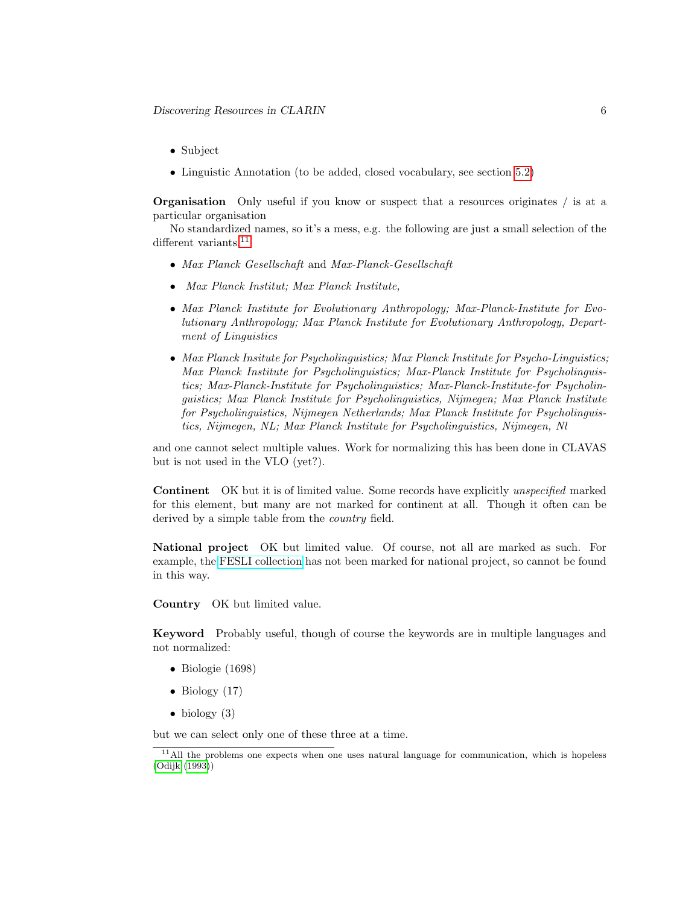- Subject
- Linguistic Annotation (to be added, closed vocabulary, see section [5.2\)](#page-7-0)

Organisation Only useful if you know or suspect that a resources originates / is at a particular organisation

No standardized names, so it's a mess, e.g. the following are just a small selection of the different variants.<sup>[11](#page-5-0)</sup>

- Max Planck Gesellschaft and Max-Planck-Gesellschaft
- Max Planck Institut; Max Planck Institute,
- Max Planck Institute for Evolutionary Anthropology; Max-Planck-Institute for Evolutionary Anthropology; Max Planck Institute for Evolutionary Anthropology, Department of Linguistics
- Max Planck Insitute for Psycholinguistics; Max Planck Institute for Psycho-Linguistics; Max Planck Institute for Psycholinguistics; Max-Planck Institute for Psycholinguistics; Max-Planck-Institute for Psycholinguistics; Max-Planck-Institute-for Psycholinguistics; Max Planck Institute for Psycholinguistics, Nijmegen; Max Planck Institute for Psycholinguistics, Nijmegen Netherlands; Max Planck Institute for Psycholinguistics, Nijmegen, NL; Max Planck Institute for Psycholinguistics, Nijmegen, Nl

and one cannot select multiple values. Work for normalizing this has been done in CLAVAS but is not used in the VLO (yet?).

Continent OK but it is of limited value. Some records have explicitly unspecified marked for this element, but many are not marked for continent at all. Though it often can be derived by a simple table from the *country* field.

National project OK but limited value. Of course, not all are marked as such. For example, the [FESLI collection](http://catalog.clarin.eu/vlo/search?fq=collection:Fesli) has not been marked for national project, so cannot be found in this way.

Country OK but limited value.

Keyword Probably useful, though of course the keywords are in multiple languages and not normalized:

- Biologie (1698)
- Biology  $(17)$
- $\bullet$  biology (3)

but we can select only one of these three at a time.

<span id="page-5-0"></span> $11$ All the problems one expects when one uses natural language for communication, which is hopeless [\(Odijk](#page-14-3) [\(1993\)](#page-14-3))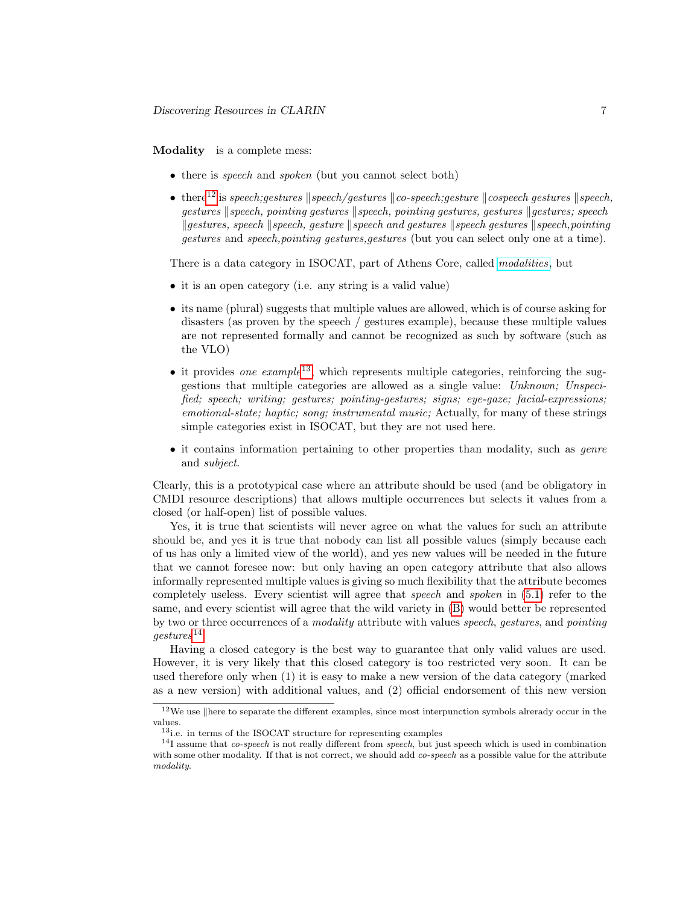#### <span id="page-6-2"></span>Modality is a complete mess:

- there is *speech* and *spoken* (but you cannot select both)
- there<sup>[12](#page-6-0)</sup> is speech;gestures  $\|$  speech/gestures  $\|$  co-speech;gesture  $\|$  cospeech gestures  $\|$  speech,  $q$ estures  $\parallel$ speech, pointing gestures  $\parallel$ speech, pointing gestures, gestures  $\parallel$ gestures; speech  $\kappa$  kgestures, speech  $\kappa$  speech, gesture kspeech and gestures kspeech gestures kspeech, pointing gestures and speech,pointing gestures,gestures (but you can select only one at a time).

There is a data category in ISOCAT, part of Athens Core, called [modalities](http://www.isocat.org/datcat/DC-2490), but

- it is an open category (i.e. any string is a valid value)
- its name (plural) suggests that multiple values are allowed, which is of course asking for disasters (as proven by the speech / gestures example), because these multiple values are not represented formally and cannot be recognized as such by software (such as the VLO)
- it provides one example<sup>[13](#page-6-1)</sup>, which represents multiple categories, reinforcing the suggestions that multiple categories are allowed as a single value: Unknown; Unspecified; speech; writing; gestures; pointing-gestures; signs; eye-gaze; facial-expressions; emotional-state; haptic; song; instrumental music; Actually, for many of these strings simple categories exist in ISOCAT, but they are not used here.
- it contains information pertaining to other properties than modality, such as *genre* and subject.

Clearly, this is a prototypical case where an attribute should be used (and be obligatory in CMDI resource descriptions) that allows multiple occurrences but selects it values from a closed (or half-open) list of possible values.

Yes, it is true that scientists will never agree on what the values for such an attribute should be, and yes it is true that nobody can list all possible values (simply because each of us has only a limited view of the world), and yes new values will be needed in the future that we cannot foresee now: but only having an open category attribute that also allows informally represented multiple values is giving so much flexibility that the attribute becomes completely useless. Every scientist will agree that speech and spoken in [\(5.1\)](#page-6-2) refer to the same, and every scientist will agree that the wild variety in [\(B\)](#page-17-0) would better be represented by two or three occurrences of a modality attribute with values speech, gestures, and pointing  $qestures^{14}$  $qestures^{14}$  $qestures^{14}$ 

Having a closed category is the best way to guarantee that only valid values are used. However, it is very likely that this closed category is too restricted very soon. It can be used therefore only when (1) it is easy to make a new version of the data category (marked as a new version) with additional values, and (2) official endorsement of this new version

<span id="page-6-0"></span> $12$ We use  $\parallel$ here to separate the different examples, since most interpunction symbols alrerady occur in the values.

<span id="page-6-3"></span><span id="page-6-1"></span><sup>13</sup>i.e. in terms of the ISOCAT structure for representing examples

 $14$ I assume that *co-speech* is not really different from *speech*, but just speech which is used in combination with some other modality. If that is not correct, we should add *co-speech* as a possible value for the attribute modality.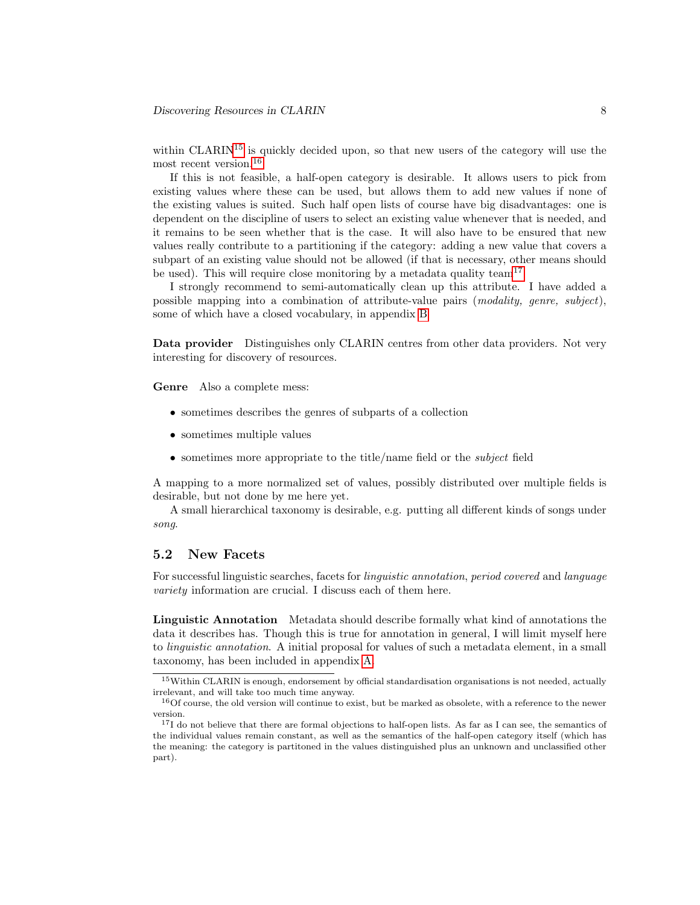within CLARIN<sup>[15](#page-7-1)</sup> is quickly decided upon, so that new users of the category will use the most recent version.<sup>[16](#page-7-2)</sup>

If this is not feasible, a half-open category is desirable. It allows users to pick from existing values where these can be used, but allows them to add new values if none of the existing values is suited. Such half open lists of course have big disadvantages: one is dependent on the discipline of users to select an existing value whenever that is needed, and it remains to be seen whether that is the case. It will also have to be ensured that new values really contribute to a partitioning if the category: adding a new value that covers a subpart of an existing value should not be allowed (if that is necessary, other means should be used). This will require close monitoring by a metadata quality team<sup>[17](#page-7-3)</sup>

I strongly recommend to semi-automatically clean up this attribute. I have added a possible mapping into a combination of attribute-value pairs (modality, genre, subject), some of which have a closed vocabulary, in appendix [B](#page-17-0)

Data provider Distinguishes only CLARIN centres from other data providers. Not very interesting for discovery of resources.

Genre Also a complete mess:

- sometimes describes the genres of subparts of a collection
- sometimes multiple values
- sometimes more appropriate to the title/name field or the subject field

A mapping to a more normalized set of values, possibly distributed over multiple fields is desirable, but not done by me here yet.

A small hierarchical taxonomy is desirable, e.g. putting all different kinds of songs under song.

#### <span id="page-7-0"></span>5.2 New Facets

For successful linguistic searches, facets for linguistic annotation, period covered and language variety information are crucial. I discuss each of them here.

Linguistic Annotation Metadata should describe formally what kind of annotations the data it describes has. Though this is true for annotation in general, I will limit myself here to linguistic annotation. A initial proposal for values of such a metadata element, in a small taxonomy, has been included in appendix [A.](#page-15-0)

<span id="page-7-1"></span><sup>15</sup>Within CLARIN is enough, endorsement by official standardisation organisations is not needed, actually irrelevant, and will take too much time anyway.

<span id="page-7-2"></span><sup>&</sup>lt;sup>16</sup>Of course, the old version will continue to exist, but be marked as obsolete, with a reference to the newer version.

<span id="page-7-3"></span><sup>&</sup>lt;sup>17</sup>I do not believe that there are formal objections to half-open lists. As far as I can see, the semantics of the individual values remain constant, as well as the semantics of the half-open category itself (which has the meaning: the category is partitoned in the values distinguished plus an unknown and unclassified other part).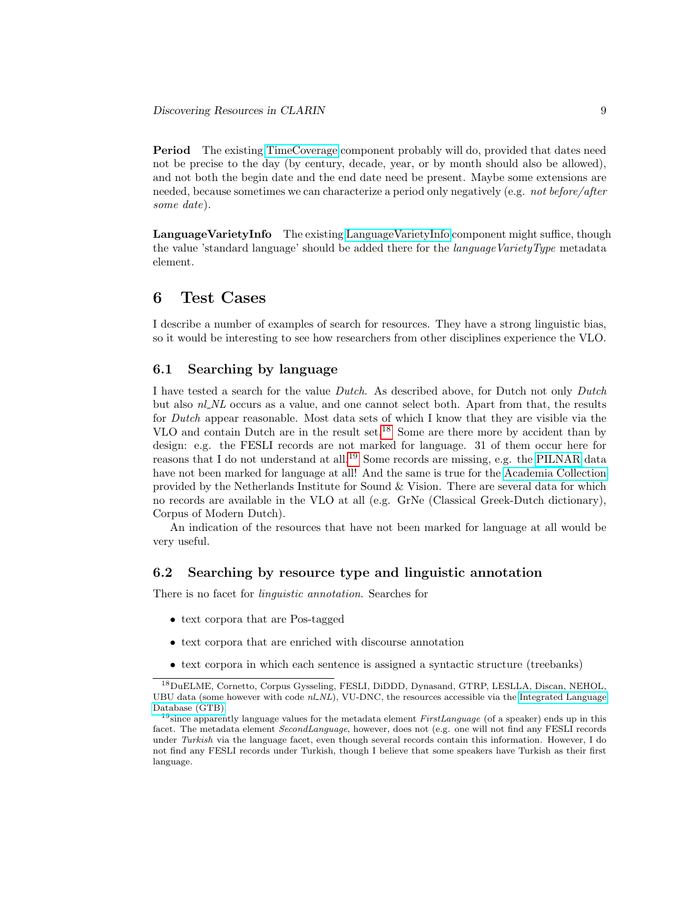Period The existing [TimeCoverage](http://catalog.clarin.eu/ds/ComponentRegistry?item=clarin.eu:cr1:c_1349361150714) component probably will do, provided that dates need not be precise to the day (by century, decade, year, or by month should also be allowed), and not both the begin date and the end date need be present. Maybe some extensions are needed, because sometimes we can characterize a period only negatively (e.g. *not before/after* some date).

LanguageVarietyInfo The existing [LanguageVarietyInfo](http://catalog.clarin.eu/ds/ComponentRegistry?item=clarin.eu:cr1:c_1355150532316) component might suffice, though the value 'standard language' should be added there for the *languageVarietyType* metadata element.

### <span id="page-8-0"></span>6 Test Cases

I describe a number of examples of search for resources. They have a strong linguistic bias, so it would be interesting to see how researchers from other disciplines experience the VLO.

#### 6.1 Searching by language

I have tested a search for the value Dutch. As described above, for Dutch not only Dutch but also  $nLNL$  occurs as a value, and one cannot select both. Apart from that, the results for Dutch appear reasonable. Most data sets of which I know that they are visible via the VLO and contain Dutch are in the result set.[18](#page-8-1) Some are there more by accident than by design: e.g. the FESLI records are not marked for language. 31 of them occur here for reasons that I do not understand at all.[19](#page-8-2) Some records are missing, e.g. the [PILNAR](http://catalog.clarin.eu/vlo/search?q=PILNAR) data have not been marked for language at all! And the same is true for the [Academia Collection](http://catalog.clarin.eu/vlo/search?q=PILNAR) provided by the Netherlands Institute for Sound  $&\&$  Vision. There are several data for which no records are available in the VLO at all (e.g. GrNe (Classical Greek-Dutch dictionary), Corpus of Modern Dutch).

An indication of the resources that have not been marked for language at all would be very useful.

#### 6.2 Searching by resource type and linguistic annotation

There is no facet for linguistic annotation. Searches for

- text corpora that are Pos-tagged
- text corpora that are enriched with discourse annotation
- text corpora in which each sentence is assigned a syntactic structure (treebanks)

<span id="page-8-1"></span><sup>18</sup>DuELME, Cornetto, Corpus Gysseling, FESLI, DiDDD, Dynasand, GTRP, LESLLA, Discan, NEHOL, UBU data (some however with code  $nl$ <sub>NL</sub>), VU-DNC, the resources accessible via the [Integrated Language](http://catalog.clarin.eu/vlo/search?q=GTB&fq=language:Dutch) [Database \(GTB\).](http://catalog.clarin.eu/vlo/search?q=GTB&fq=language:Dutch)

<span id="page-8-2"></span><sup>&</sup>lt;sup>19</sup>since apparently language values for the metadata element FirstLanguage (of a speaker) ends up in this facet. The metadata element SecondLanguage, however, does not (e.g. one will not find any FESLI records under Turkish via the language facet, even though several records contain this information. However, I do not find any FESLI records under Turkish, though I believe that some speakers have Turkish as their first language.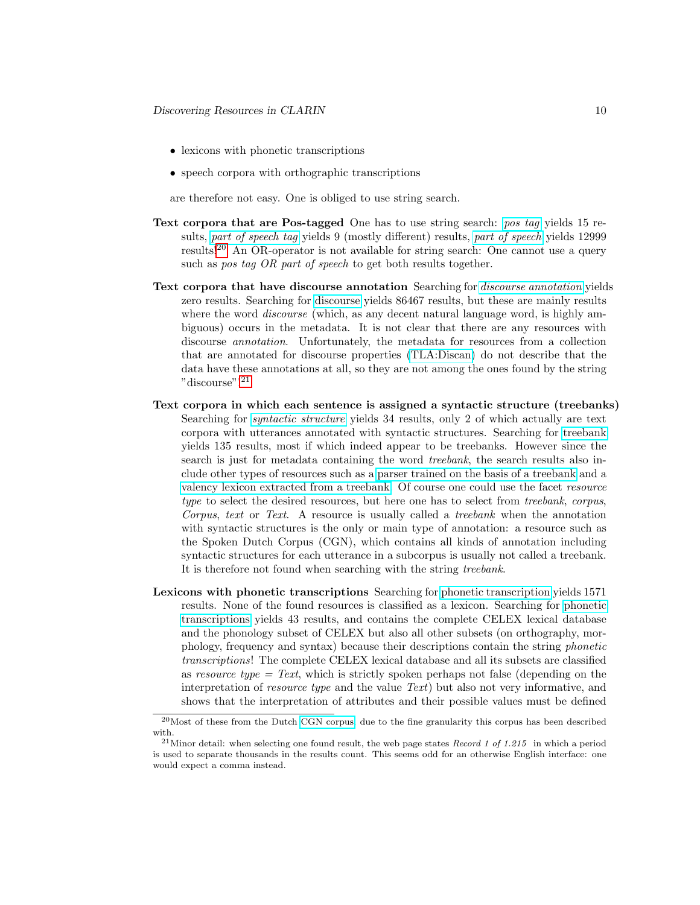- lexicons with phonetic transcriptions
- speech corpora with orthographic transcriptions

are therefore not easy. One is obliged to use string search.

- Text corpora that are Pos-tagged One has to use string search: [pos tag](http://catalog.clarin.eu/vlo/search?q=pos+tag) yields 15 results, [part of speech tag](http://catalog.clarin.eu/vlo/search?q=part+of+speech+tag) yields 9 (mostly different) results, [part of speech](http://catalog.clarin.eu/vlo/search?q=part+of+speech) yields 12999 results![20](#page-9-0) An OR-operator is not available for string search: One cannot use a query such as *pos tag OR part of speech* to get both results together.
- Text corpora that have discourse annotation Searching for [discourse annotation](http://catalog.clarin.eu/vlo/search?q=discourse+annotation) yields zero results. Searching for [discourse](http://catalog.clarin.eu/vlo/search?q=discourse) yields 86467 results, but these are mainly results where the word *discourse* (which, as any decent natural language word, is highly ambiguous) occurs in the metadata. It is not clear that there are any resources with discourse *annotation*. Unfortunately, the metadata for resources from a collection that are annotated for discourse properties [\(TLA:Discan\)](http://catalog.clarin.eu/vlo/search?fq=collection:TLA:+DiscAn) do not describe that the data have these annotations at all, so they are not among the ones found by the string "discourse"![21](#page-9-1)
- Text corpora in which each sentence is assigned a syntactic structure (treebanks) Searching for [syntactic structure](http://catalog.clarin.eu/vlo/search?q=syntactic+structure) yields 34 results, only 2 of which actually are text corpora with utterances annotated with syntactic structures. Searching for [treebank](http://catalog.clarin.eu/vlo/search?q=treebank) yields 135 results, most if which indeed appear to be treebanks. However since the search is just for metadata containing the word treebank, the search results also include other types of resources such as a [parser trained on the basis of a treebank](http://catalog.clarin.eu/vlo/record?q=treebank&docId=oai_58_dspace.library.uu.nl_58_1874_47_296799) and a [valency lexicon extracted from a treebank.](http://catalog.clarin.eu/vlo/record?q=treebank&docId=CLARIN+Centres/oai_ota_oucs_2546.xml) Of course one could use the facet resource type to select the desired resources, but here one has to select from *treebank*, *corpus*, Corpus, text or Text. A resource is usually called a treebank when the annotation with syntactic structures is the only or main type of annotation: a resource such as the Spoken Dutch Corpus (CGN), which contains all kinds of annotation including syntactic structures for each utterance in a subcorpus is usually not called a treebank. It is therefore not found when searching with the string *treebank*.
- Lexicons with phonetic transcriptions Searching for [phonetic transcription](http://catalog.clarin.eu/vlo/search?q=phonetic+transcription) yields 1571 results. None of the found resources is classified as a lexicon. Searching for [phonetic](http://catalog.clarin.eu/vlo/search?q=phonetic+transcriptions) [transcriptions](http://catalog.clarin.eu/vlo/search?q=phonetic+transcriptions) yields 43 results, and contains the complete CELEX lexical database and the phonology subset of CELEX but also all other subsets (on orthography, morphology, frequency and syntax) because their descriptions contain the string phonetic transcriptions! The complete CELEX lexical database and all its subsets are classified as resource type  $= Text$ , which is strictly spoken perhaps not false (depending on the interpretation of *resource type* and the value Text) but also not very informative, and shows that the interpretation of attributes and their possible values must be defined

<span id="page-9-0"></span><sup>20</sup>Most of these from the Dutch [CGN corpus,](http://catalog.clarin.eu/vlo/search?q=part+of+speech&fq=collection:TLA:+MPI+CGN) due to the fine granularity this corpus has been described with.

<span id="page-9-1"></span><sup>&</sup>lt;sup>21</sup>Minor detail: when selecting one found result, the web page states Record 1 of 1.215 in which a period is used to separate thousands in the results count. This seems odd for an otherwise English interface: one would expect a comma instead.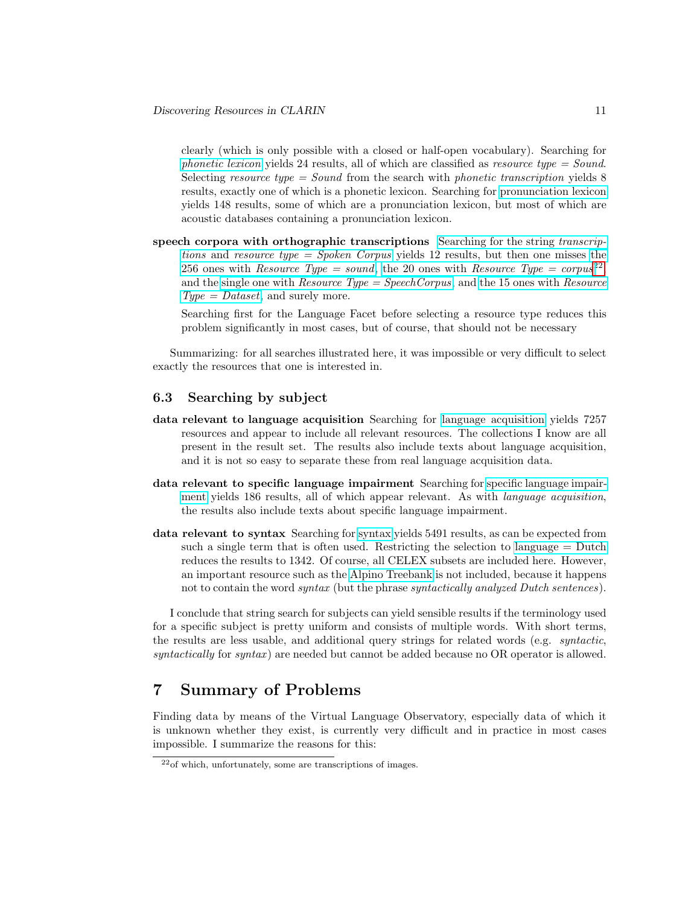clearly (which is only possible with a closed or half-open vocabulary). Searching for [phonetic lexicon](http://catalog.clarin.eu/vlo/search?q=phonetic+lexicon) yields 24 results, all of which are classified as resource type  $=$  Sound. Selecting resource type  $=$  Sound from the search with phonetic transcription yields 8 results, exactly one of which is a phonetic lexicon. Searching for [pronunciation lexicon](http://catalog.clarin.eu/vlo/search?q=pronunciation+lexicon) yields 148 results, some of which are a pronunciation lexicon, but most of which are acoustic databases containing a pronunciation lexicon.

speech corpora with orthographic transcriptions [Searching for the string](http://catalog.clarin.eu/vlo/search?q=transcriptions&fq=resourceClass:Spoken+Corpus) transcriptions and [resource type = Spoken Corpus](http://catalog.clarin.eu/vlo/search?q=transcriptions&fq=resourceClass:Spoken+Corpus) yields 12 results, but then one misses [the](http://catalog.clarin.eu/vlo/search?q=transcriptions&fq=resourceClass:Sound) 256 ones with [Resource Type = sound](http://catalog.clarin.eu/vlo/search?q=transcriptions&fq=resourceClass:Sound), the 20 ones with Resource Type =  $corpus^{22}$  $corpus^{22}$  $corpus^{22}$ , and the single one with  $Resource\ Type = Speech Corpus$ , and [the 15 ones with](http://catalog.clarin.eu/vlo/search?q=transcriptions&fq=resourceClass:Dataset)  $Resource$  $Type = Dataset$ , and surely more.

Searching first for the Language Facet before selecting a resource type reduces this problem significantly in most cases, but of course, that should not be necessary

Summarizing: for all searches illustrated here, it was impossible or very difficult to select exactly the resources that one is interested in.

#### 6.3 Searching by subject

- data relevant to language acquisition Searching for [language acquisition](http://catalog.clarin.eu/vlo/search?q=language+acquisition) yields 7257 resources and appear to include all relevant resources. The collections I know are all present in the result set. The results also include texts about language acquisition, and it is not so easy to separate these from real language acquisition data.
- data relevant to specific language impairment Searching for [specific language impair](http://catalog.clarin.eu/vlo/search?q=specific+language+impairment)[ment](http://catalog.clarin.eu/vlo/search?q=specific+language+impairment) yields 186 results, all of which appear relevant. As with language acquisition, the results also include texts about specific language impairment.
- data relevant to syntax Searching for [syntax](http://catalog.clarin.eu/vlo/search?q=syntax) yields 5491 results, as can be expected from such a single term that is often used. Restricting the selection to [language = Dutch](http://catalog.clarin.eu/vlo/search?q=syntax&fq=language:Dutch) reduces the results to 1342. Of course, all CELEX subsets are included here. However, an important resource such as the [Alpino Treebank](http://catalog.clarin.eu/vlo/record?q=Alpino&docId=http_58__47__47_hdl.handle.net_47_11372_47_LRT-220_64_format_61_cmdi) is not included, because it happens not to contain the word *syntax* (but the phrase *syntactically analyzed Dutch sentences*).

I conclude that string search for subjects can yield sensible results if the terminology used for a specific subject is pretty uniform and consists of multiple words. With short terms, the results are less usable, and additional query strings for related words (e.g. syntactic, syntactically for syntax) are needed but cannot be added because no OR operator is allowed.

### <span id="page-10-0"></span>7 Summary of Problems

Finding data by means of the Virtual Language Observatory, especially data of which it is unknown whether they exist, is currently very difficult and in practice in most cases impossible. I summarize the reasons for this:

<span id="page-10-1"></span><sup>22</sup>of which, unfortunately, some are transcriptions of images.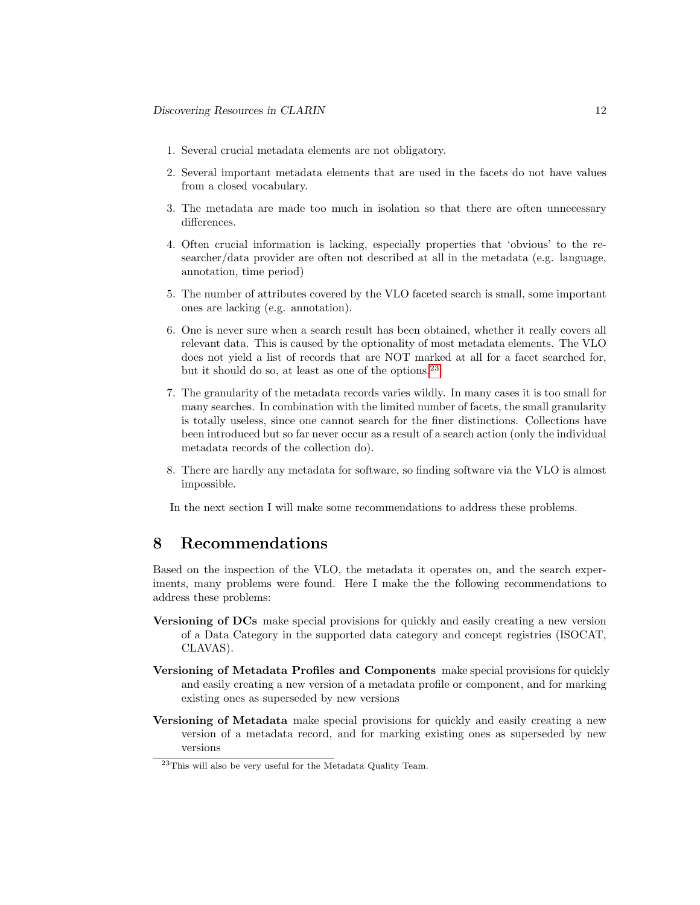- 1. Several crucial metadata elements are not obligatory.
- 2. Several important metadata elements that are used in the facets do not have values from a closed vocabulary.
- 3. The metadata are made too much in isolation so that there are often unnecessary differences.
- 4. Often crucial information is lacking, especially properties that 'obvious' to the researcher/data provider are often not described at all in the metadata (e.g. language, annotation, time period)
- 5. The number of attributes covered by the VLO faceted search is small, some important ones are lacking (e.g. annotation).
- 6. One is never sure when a search result has been obtained, whether it really covers all relevant data. This is caused by the optionality of most metadata elements. The VLO does not yield a list of records that are NOT marked at all for a facet searched for, but it should do so, at least as one of the options.<sup>[23](#page-11-1)</sup>
- 7. The granularity of the metadata records varies wildly. In many cases it is too small for many searches. In combination with the limited number of facets, the small granularity is totally useless, since one cannot search for the finer distinctions. Collections have been introduced but so far never occur as a result of a search action (only the individual metadata records of the collection do).
- 8. There are hardly any metadata for software, so finding software via the VLO is almost impossible.
- In the next section I will make some recommendations to address these problems.

### <span id="page-11-0"></span>8 Recommendations

Based on the inspection of the VLO, the metadata it operates on, and the search experiments, many problems were found. Here I make the the following recommendations to address these problems:

- Versioning of DCs make special provisions for quickly and easily creating a new version of a Data Category in the supported data category and concept registries (ISOCAT, CLAVAS).
- Versioning of Metadata Profiles and Components make special provisions for quickly and easily creating a new version of a metadata profile or component, and for marking existing ones as superseded by new versions
- Versioning of Metadata make special provisions for quickly and easily creating a new version of a metadata record, and for marking existing ones as superseded by new versions

<span id="page-11-1"></span><sup>23</sup>This will also be very useful for the Metadata Quality Team.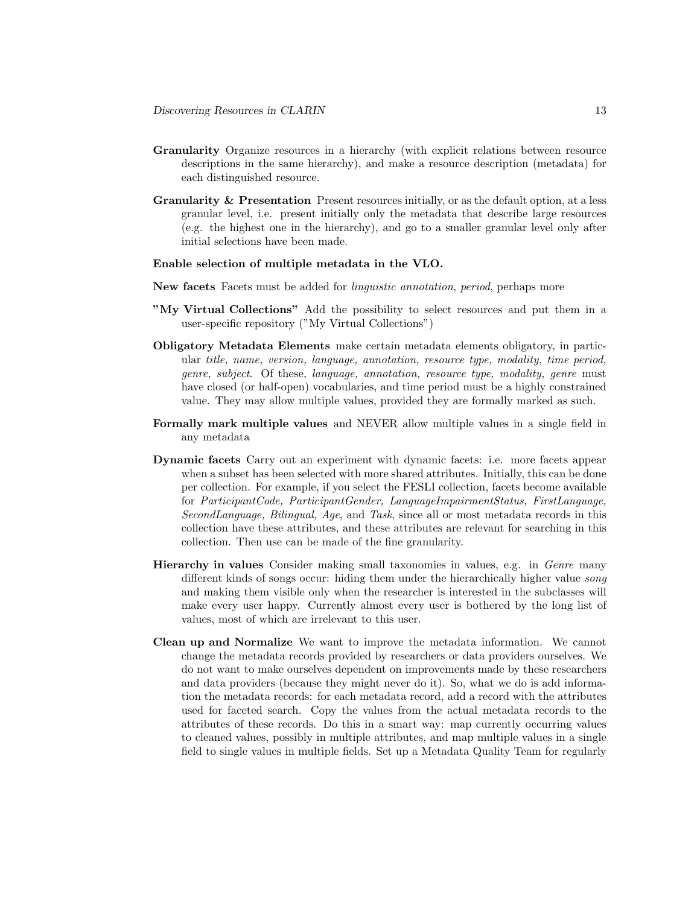- Granularity Organize resources in a hierarchy (with explicit relations between resource descriptions in the same hierarchy), and make a resource description (metadata) for each distinguished resource.
- Granularity  $\&$  Presentation Present resources initially, or as the default option, at a less granular level, i.e. present initially only the metadata that describe large resources (e.g. the highest one in the hierarchy), and go to a smaller granular level only after initial selections have been made.

#### Enable selection of multiple metadata in the VLO.

- New facets Facets must be added for linguistic annotation, period, perhaps more
- "My Virtual Collections" Add the possibility to select resources and put them in a user-specific repository ("My Virtual Collections")
- Obligatory Metadata Elements make certain metadata elements obligatory, in particular title, name, version, language, annotation, resource type, modality, time period, genre, subject. Of these, language, annotation, resource type, modality, genre must have closed (or half-open) vocabularies, and time period must be a highly constrained value. They may allow multiple values, provided they are formally marked as such.
- Formally mark multiple values and NEVER allow multiple values in a single field in any metadata
- Dynamic facets Carry out an experiment with dynamic facets: i.e. more facets appear when a subset has been selected with more shared attributes. Initially, this can be done per collection. For example, if you select the FESLI collection, facets become available for ParticipantCode, ParticipantGender, LanguageImpairmentStatus, FirstLanguage, SecondLanguage, Bilingual, Age, and Task, since all or most metadata records in this collection have these attributes, and these attributes are relevant for searching in this collection. Then use can be made of the fine granularity.
- Hierarchy in values Consider making small taxonomies in values, e.g. in Genre many different kinds of songs occur: hiding them under the hierarchically higher value song and making them visible only when the researcher is interested in the subclasses will make every user happy. Currently almost every user is bothered by the long list of values, most of which are irrelevant to this user.
- Clean up and Normalize We want to improve the metadata information. We cannot change the metadata records provided by researchers or data providers ourselves. We do not want to make ourselves dependent on improvements made by these researchers and data providers (because they might never do it). So, what we do is add information the metadata records: for each metadata record, add a record with the attributes used for faceted search. Copy the values from the actual metadata records to the attributes of these records. Do this in a smart way: map currently occurring values to cleaned values, possibly in multiple attributes, and map multiple values in a single field to single values in multiple fields. Set up a Metadata Quality Team for regularly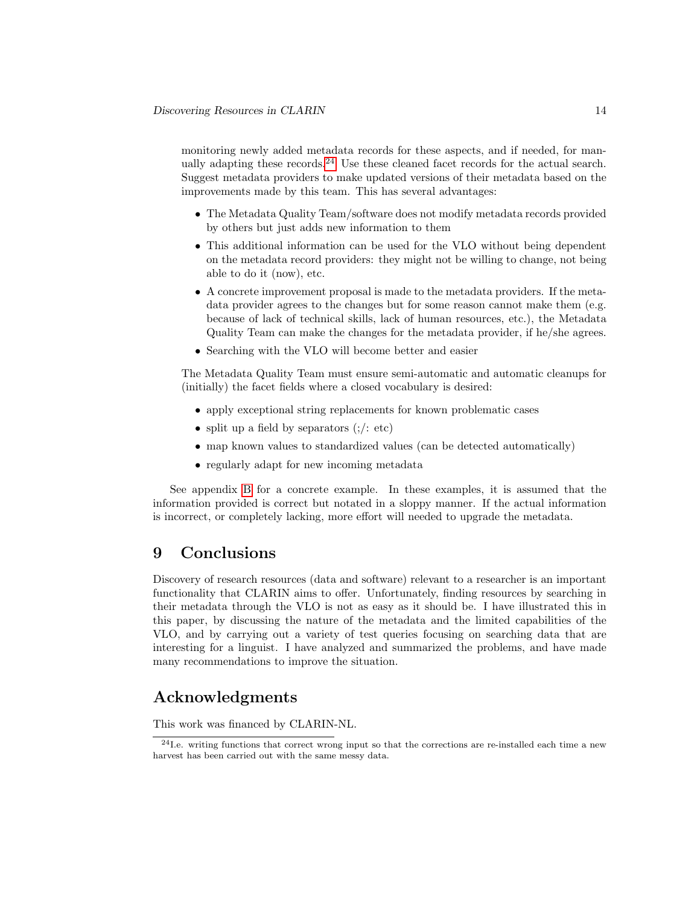monitoring newly added metadata records for these aspects, and if needed, for man-ually adapting these records.<sup>[24](#page-13-1)</sup> Use these cleaned facet records for the actual search. Suggest metadata providers to make updated versions of their metadata based on the improvements made by this team. This has several advantages:

- The Metadata Quality Team/software does not modify metadata records provided by others but just adds new information to them
- This additional information can be used for the VLO without being dependent on the metadata record providers: they might not be willing to change, not being able to do it (now), etc.
- A concrete improvement proposal is made to the metadata providers. If the metadata provider agrees to the changes but for some reason cannot make them (e.g. because of lack of technical skills, lack of human resources, etc.), the Metadata Quality Team can make the changes for the metadata provider, if he/she agrees.
- Searching with the VLO will become better and easier

The Metadata Quality Team must ensure semi-automatic and automatic cleanups for (initially) the facet fields where a closed vocabulary is desired:

- apply exceptional string replacements for known problematic cases
- split up a field by separators  $($ ; $/$ : etc)
- map known values to standardized values (can be detected automatically)
- regularly adapt for new incoming metadata

See appendix [B](#page-17-0) for a concrete example. In these examples, it is assumed that the information provided is correct but notated in a sloppy manner. If the actual information is incorrect, or completely lacking, more effort will needed to upgrade the metadata.

### <span id="page-13-0"></span>9 Conclusions

Discovery of research resources (data and software) relevant to a researcher is an important functionality that CLARIN aims to offer. Unfortunately, finding resources by searching in their metadata through the VLO is not as easy as it should be. I have illustrated this in this paper, by discussing the nature of the metadata and the limited capabilities of the VLO, and by carrying out a variety of test queries focusing on searching data that are interesting for a linguist. I have analyzed and summarized the problems, and have made many recommendations to improve the situation.

### Acknowledgments

This work was financed by CLARIN-NL.

<span id="page-13-1"></span><sup>24</sup>I.e. writing functions that correct wrong input so that the corrections are re-installed each time a new harvest has been carried out with the same messy data.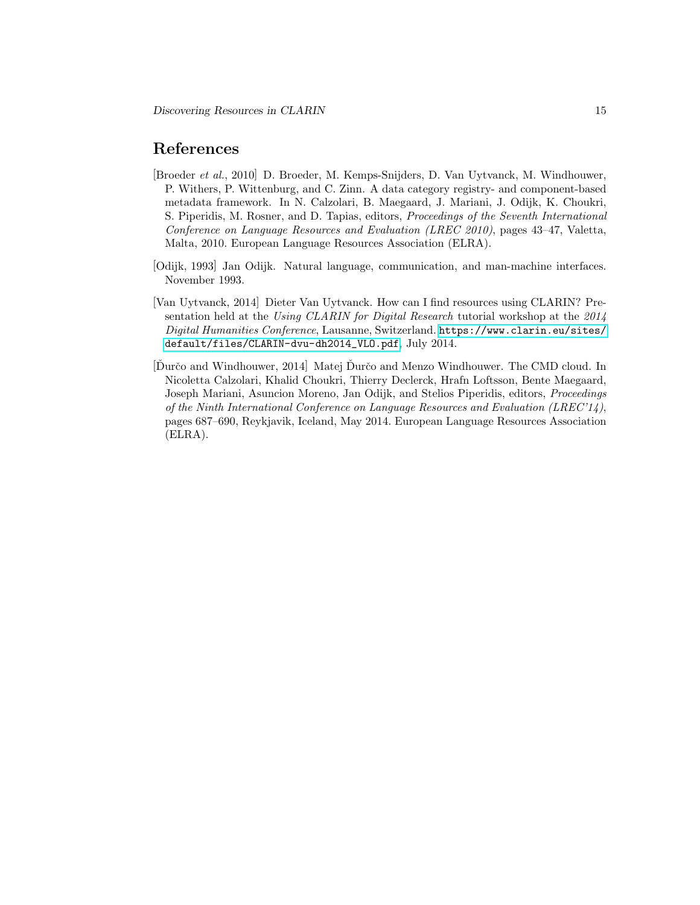### References

- <span id="page-14-0"></span>[Broeder et al., 2010] D. Broeder, M. Kemps-Snijders, D. Van Uytvanck, M. Windhouwer, P. Withers, P. Wittenburg, and C. Zinn. A data category registry- and component-based metadata framework. In N. Calzolari, B. Maegaard, J. Mariani, J. Odijk, K. Choukri, S. Piperidis, M. Rosner, and D. Tapias, editors, Proceedings of the Seventh International Conference on Language Resources and Evaluation (LREC 2010), pages 43–47, Valetta, Malta, 2010. European Language Resources Association (ELRA).
- <span id="page-14-3"></span>[Odijk, 1993] Jan Odijk. Natural language, communication, and man-machine interfaces. November 1993.
- <span id="page-14-1"></span>[Van Uytvanck, 2014] Dieter Van Uytvanck. How can I find resources using CLARIN? Presentation held at the Using CLARIN for Digital Research tutorial workshop at the 2014 Digital Humanities Conference, Lausanne, Switzerland. [https://www.clarin.eu/sites/](https://www.clarin.eu/sites/default/files/CLARIN-dvu-dh2014_VLO.pdf) [default/files/CLARIN-dvu-dh2014\\_VLO.pdf](https://www.clarin.eu/sites/default/files/CLARIN-dvu-dh2014_VLO.pdf), July 2014.
- <span id="page-14-2"></span>[Durčo and Windhouwer, 2014] Matej Durčo and Menzo Windhouwer. The CMD cloud. In Nicoletta Calzolari, Khalid Choukri, Thierry Declerck, Hrafn Loftsson, Bente Maegaard, Joseph Mariani, Asuncion Moreno, Jan Odijk, and Stelios Piperidis, editors, Proceedings of the Ninth International Conference on Language Resources and Evaluation (LREC'14), pages 687–690, Reykjavik, Iceland, May 2014. European Language Resources Association (ELRA).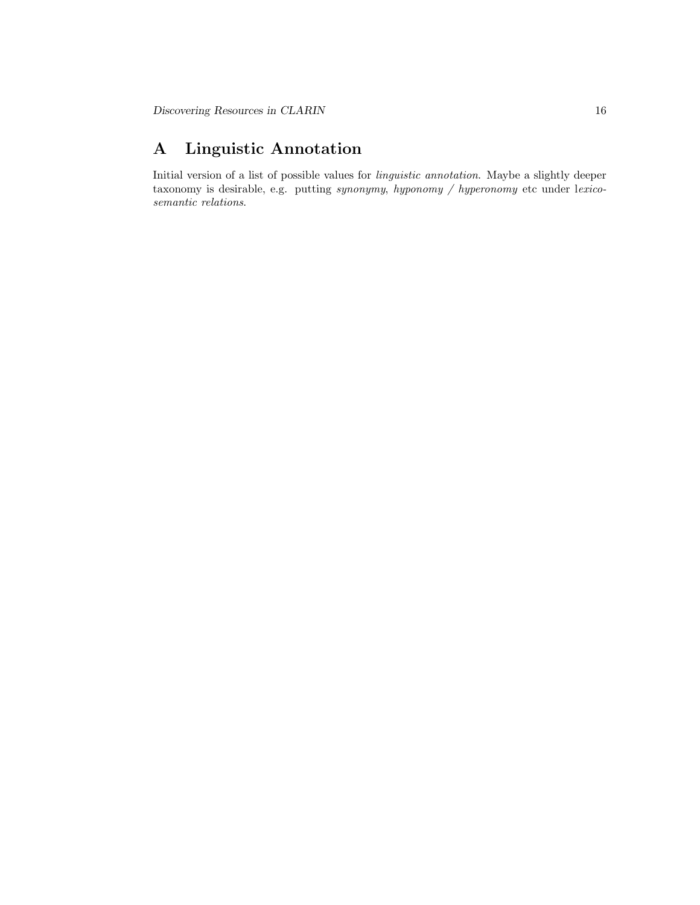# <span id="page-15-0"></span>A Linguistic Annotation

Initial version of a list of possible values for linguistic annotation. Maybe a slightly deeper taxonomy is desirable, e.g. putting synonymy, hyponomy / hyperonomy etc under lexicosemantic relations.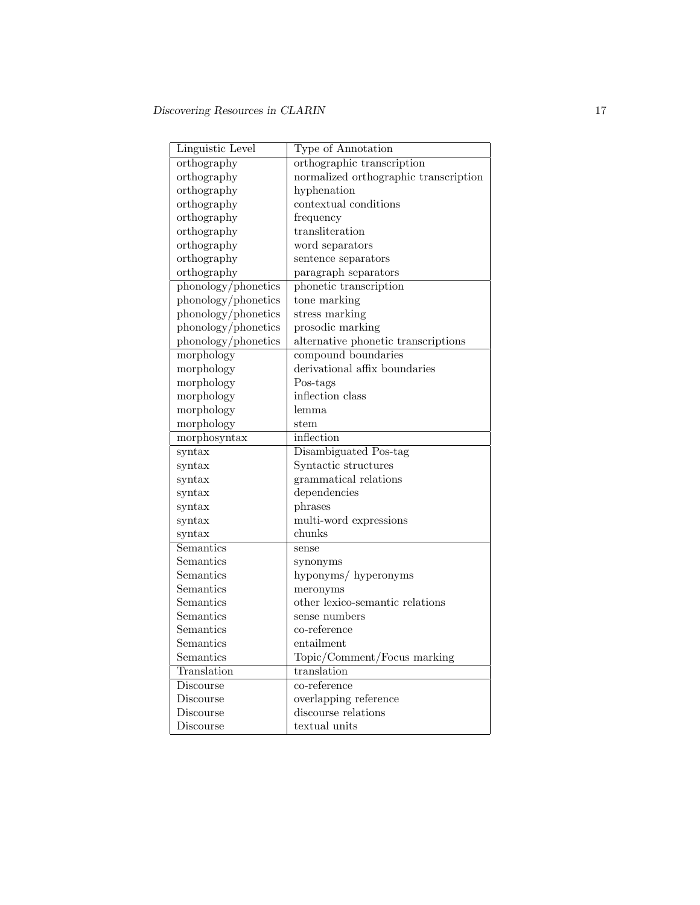| Linguistic Level       | Type of Annotation                    |
|------------------------|---------------------------------------|
| orthography            | orthographic transcription            |
| orthography            | normalized orthographic transcription |
| orthography            | hyphenation                           |
| orthography            | contextual conditions                 |
| orthography            | frequency                             |
| orthography            | transliteration                       |
| orthography            | word separators                       |
| orthography            | sentence separators                   |
| orthography            | paragraph separators                  |
| phonology/phonetics    | phonetic transcription                |
| phonology/phonetics    | tone marking                          |
| phonology/phonetics    | stress marking                        |
| phonology/phonetics    | prosodic marking                      |
| phonology/phonetics    | alternative phonetic transcriptions   |
| morphology             | compound boundaries                   |
| morphology             | derivational affix boundaries         |
| morphology             | Pos-tags                              |
| morphology             | inflection class                      |
| morphology             | lemma                                 |
| morphology             | stem                                  |
| morphosyntax           | inflection                            |
| syntax                 | Disambiguated Pos-tag                 |
| $\sqrt{\text{syntax}}$ | Syntactic structures                  |
| syntax                 | grammatical relations                 |
| $\sqrt{\text{syntax}}$ | dependencies                          |
| syntax                 | phrases                               |
| syntax                 | multi-word expressions                |
| syntax                 | chunks                                |
| Semantics              | sense                                 |
| Semantics              | synonyms                              |
| Semantics              | hyponyms/hyperonyms                   |
| Semantics              | meronyms                              |
| Semantics              | other lexico-semantic relations       |
| Semantics              | sense numbers                         |
| Semantics              | co-reference                          |
| Semantics              | entailment                            |
| Semantics              | Topic/Comment/Focus marking           |
| Translation            | translation                           |
| Discourse              | co-reference                          |
| Discourse              | overlapping reference                 |
| Discourse              | discourse relations                   |
| Discourse              | textual units                         |